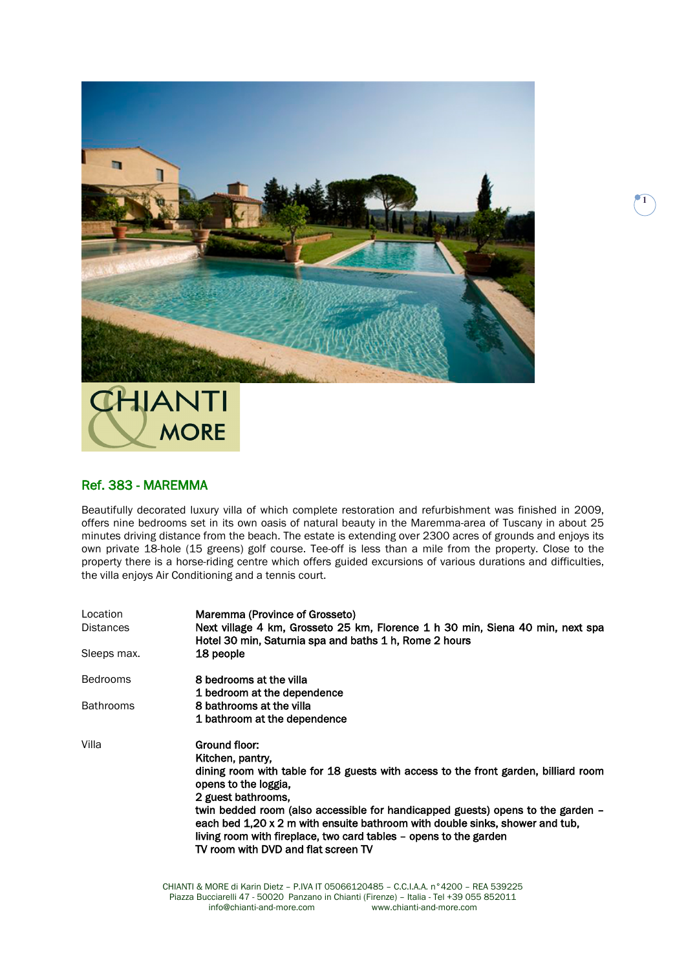

## HJANTI **MORE**

## Ref. 383 - MAREMMA

Beautifully decorated luxury villa of which complete restoration and refurbishment was finished in 2009, offers nine bedrooms set in its own oasis of natural beauty in the Maremma-area of Tuscany in about 25 minutes driving distance from the beach. The estate is extending over 2300 acres of grounds and enjoys its own private 18-hole (15 greens) golf course. Tee-off is less than a mile from the property. Close to the property there is a horse-riding centre which offers guided excursions of various durations and difficulties, the villa enjoys Air Conditioning and a tennis court.

| Location<br><b>Distances</b> | Maremma (Province of Grosseto)<br>Next village 4 km, Grosseto 25 km, Florence 1 h 30 min, Siena 40 min, next spa<br>Hotel 30 min, Saturnia spa and baths 1 h, Rome 2 hours                                                                                                                                                                                                                                                                            |
|------------------------------|-------------------------------------------------------------------------------------------------------------------------------------------------------------------------------------------------------------------------------------------------------------------------------------------------------------------------------------------------------------------------------------------------------------------------------------------------------|
| Sleeps max.                  | 18 people                                                                                                                                                                                                                                                                                                                                                                                                                                             |
| <b>Bedrooms</b>              | 8 bedrooms at the villa<br>1 bedroom at the dependence                                                                                                                                                                                                                                                                                                                                                                                                |
| <b>Bathrooms</b>             | 8 bathrooms at the villa<br>1 bathroom at the dependence                                                                                                                                                                                                                                                                                                                                                                                              |
| Villa                        | Ground floor:<br>Kitchen, pantry,<br>dining room with table for 18 guests with access to the front garden, billiard room<br>opens to the loggia.<br>2 guest bathrooms.<br>twin bedded room (also accessible for handicapped guests) opens to the garden -<br>each bed 1,20 x 2 m with ensuite bathroom with double sinks, shower and tub,<br>living room with fireplace, two card tables - opens to the garden<br>TV room with DVD and flat screen TV |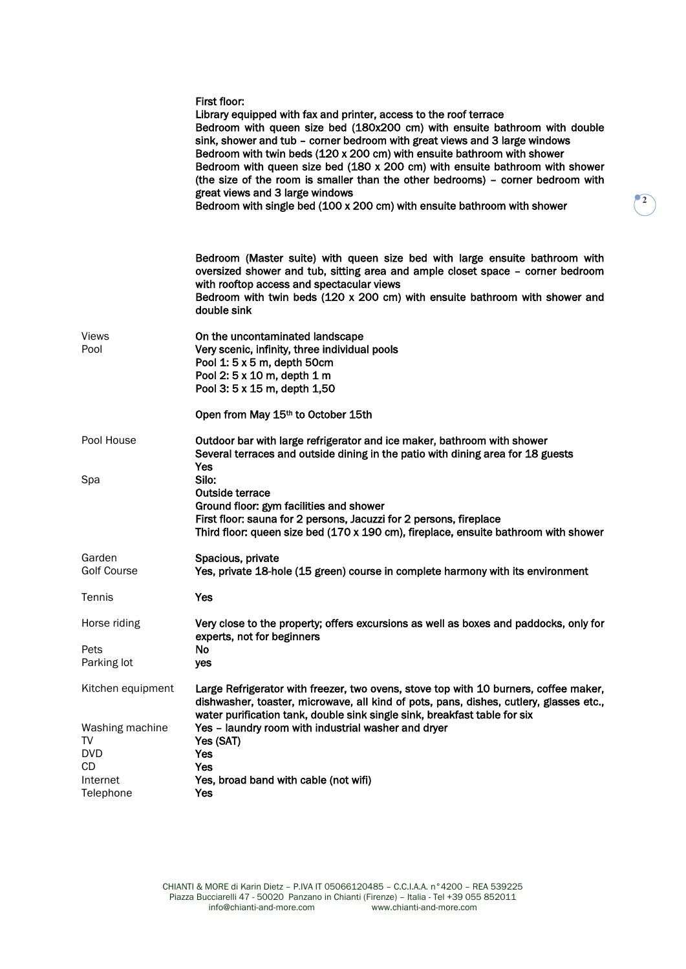|                                                                            | First floor:<br>Library equipped with fax and printer, access to the roof terrace<br>Bedroom with queen size bed (180x200 cm) with ensuite bathroom with double<br>sink, shower and tub - corner bedroom with great views and 3 large windows<br>Bedroom with twin beds (120 x 200 cm) with ensuite bathroom with shower<br>Bedroom with queen size bed $(180 \times 200 \text{ cm})$ with ensuite bathroom with shower<br>(the size of the room is smaller than the other bedrooms) - corner bedroom with<br>great views and 3 large windows<br>Bedroom with single bed (100 x 200 cm) with ensuite bathroom with shower |
|----------------------------------------------------------------------------|---------------------------------------------------------------------------------------------------------------------------------------------------------------------------------------------------------------------------------------------------------------------------------------------------------------------------------------------------------------------------------------------------------------------------------------------------------------------------------------------------------------------------------------------------------------------------------------------------------------------------|
|                                                                            | Bedroom (Master suite) with queen size bed with large ensuite bathroom with<br>oversized shower and tub, sitting area and ample closet space - corner bedroom<br>with rooftop access and spectacular views<br>Bedroom with twin beds $(120 \times 200 \text{ cm})$ with ensuite bathroom with shower and<br>double sink                                                                                                                                                                                                                                                                                                   |
| Views<br>Pool                                                              | On the uncontaminated landscape<br>Very scenic, infinity, three individual pools<br>Pool 1: 5 x 5 m, depth 50cm<br>Pool 2: 5 x 10 m, depth 1 m<br>Pool 3: 5 x 15 m, depth 1,50                                                                                                                                                                                                                                                                                                                                                                                                                                            |
|                                                                            | Open from May 15th to October 15th                                                                                                                                                                                                                                                                                                                                                                                                                                                                                                                                                                                        |
| Pool House<br>Spa                                                          | Outdoor bar with large refrigerator and ice maker, bathroom with shower<br>Several terraces and outside dining in the patio with dining area for 18 guests<br>Yes<br>Silo:<br>Outside terrace<br>Ground floor: gym facilities and shower<br>First floor: sauna for 2 persons, Jacuzzi for 2 persons, fireplace                                                                                                                                                                                                                                                                                                            |
|                                                                            | Third floor: queen size bed $(170 \times 190 \text{ cm})$ , fireplace, ensuite bathroom with shower                                                                                                                                                                                                                                                                                                                                                                                                                                                                                                                       |
| Garden<br>Golf Course                                                      | Spacious, private<br>Yes, private 18-hole (15 green) course in complete harmony with its environment                                                                                                                                                                                                                                                                                                                                                                                                                                                                                                                      |
| Tennis                                                                     | Yes                                                                                                                                                                                                                                                                                                                                                                                                                                                                                                                                                                                                                       |
| Horse riding                                                               | Very close to the property; offers excursions as well as boxes and paddocks, only for<br>experts, not for beginners                                                                                                                                                                                                                                                                                                                                                                                                                                                                                                       |
| Pets<br>Parking lot                                                        | No.<br>yes                                                                                                                                                                                                                                                                                                                                                                                                                                                                                                                                                                                                                |
| Kitchen equipment<br>Washing machine<br>TV<br><b>DVD</b><br>CD<br>Internet | Large Refrigerator with freezer, two ovens, stove top with 10 burners, coffee maker,<br>dishwasher, toaster, microwave, all kind of pots, pans, dishes, cutlery, glasses etc.,<br>water purification tank, double sink single sink, breakfast table for six<br>Yes - laundry room with industrial washer and dryer<br>Yes (SAT)<br>Yes<br>Yes<br>Yes, broad band with cable (not wifi)                                                                                                                                                                                                                                    |
| Telephone                                                                  | Yes                                                                                                                                                                                                                                                                                                                                                                                                                                                                                                                                                                                                                       |